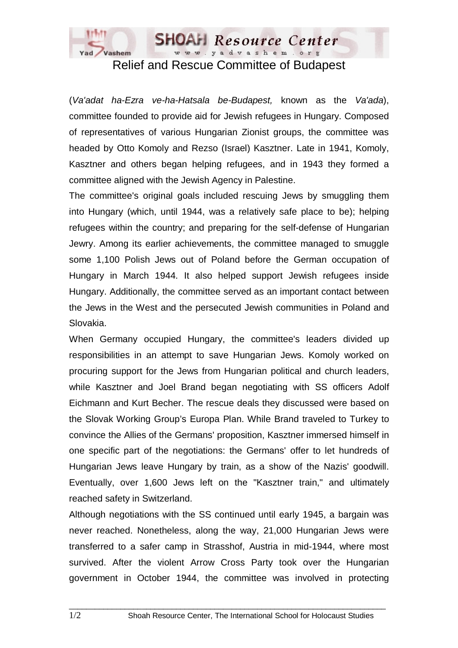

Relief and Rescue Committee of Budapest

(*Va'adat ha-Ezra ve-ha-Hatsala be-Budapest,* known as the *Va'ada*), committee founded to provide aid for Jewish refugees in Hungary. Composed of representatives of various Hungarian Zionist groups, the committee was headed by Otto Komoly and Rezso (Israel) Kasztner. Late in 1941, Komoly, Kasztner and others began helping refugees, and in 1943 they formed a committee aligned with the Jewish Agency in Palestine.

The committee's original goals included rescuing Jews by smuggling them into Hungary (which, until 1944, was a relatively safe place to be); helping refugees within the country; and preparing for the self-defense of Hungarian Jewry. Among its earlier achievements, the committee managed to smuggle some 1,100 Polish Jews out of Poland before the German occupation of Hungary in March 1944. It also helped support Jewish refugees inside Hungary. Additionally, the committee served as an important contact between the Jews in the West and the persecuted Jewish communities in Poland and Slovakia.

When Germany occupied Hungary, the committee's leaders divided up responsibilities in an attempt to save Hungarian Jews. Komoly worked on procuring support for the Jews from Hungarian political and church leaders, while Kasztner and Joel Brand began negotiating with SS officers Adolf Eichmann and Kurt Becher. The rescue deals they discussed were based on the Slovak Working Group's Europa Plan. While Brand traveled to Turkey to convince the Allies of the Germans' proposition, Kasztner immersed himself in one specific part of the negotiations: the Germans' offer to let hundreds of Hungarian Jews leave Hungary by train, as a show of the Nazis' goodwill. Eventually, over 1,600 Jews left on the "Kasztner train," and ultimately reached safety in Switzerland.

Although negotiations with the SS continued until early 1945, a bargain was never reached. Nonetheless, along the way, 21,000 Hungarian Jews were transferred to a safer camp in Strasshof, Austria in mid-1944, where most survived. After the violent Arrow Cross Party took over the Hungarian government in October 1944, the committee was involved in protecting

 $\Box$